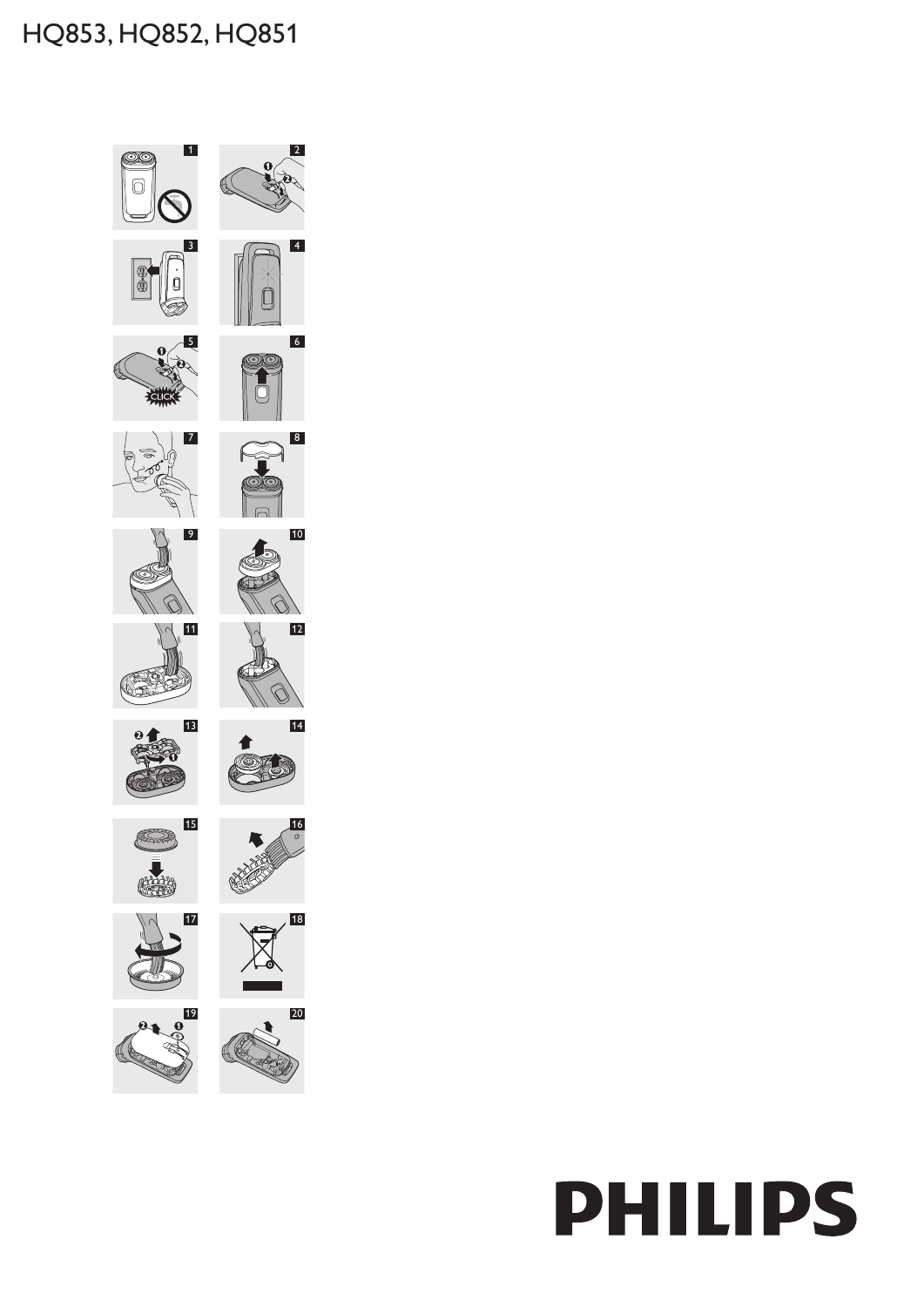# HQ853, HQ852, HQ851



# **PHILIPS**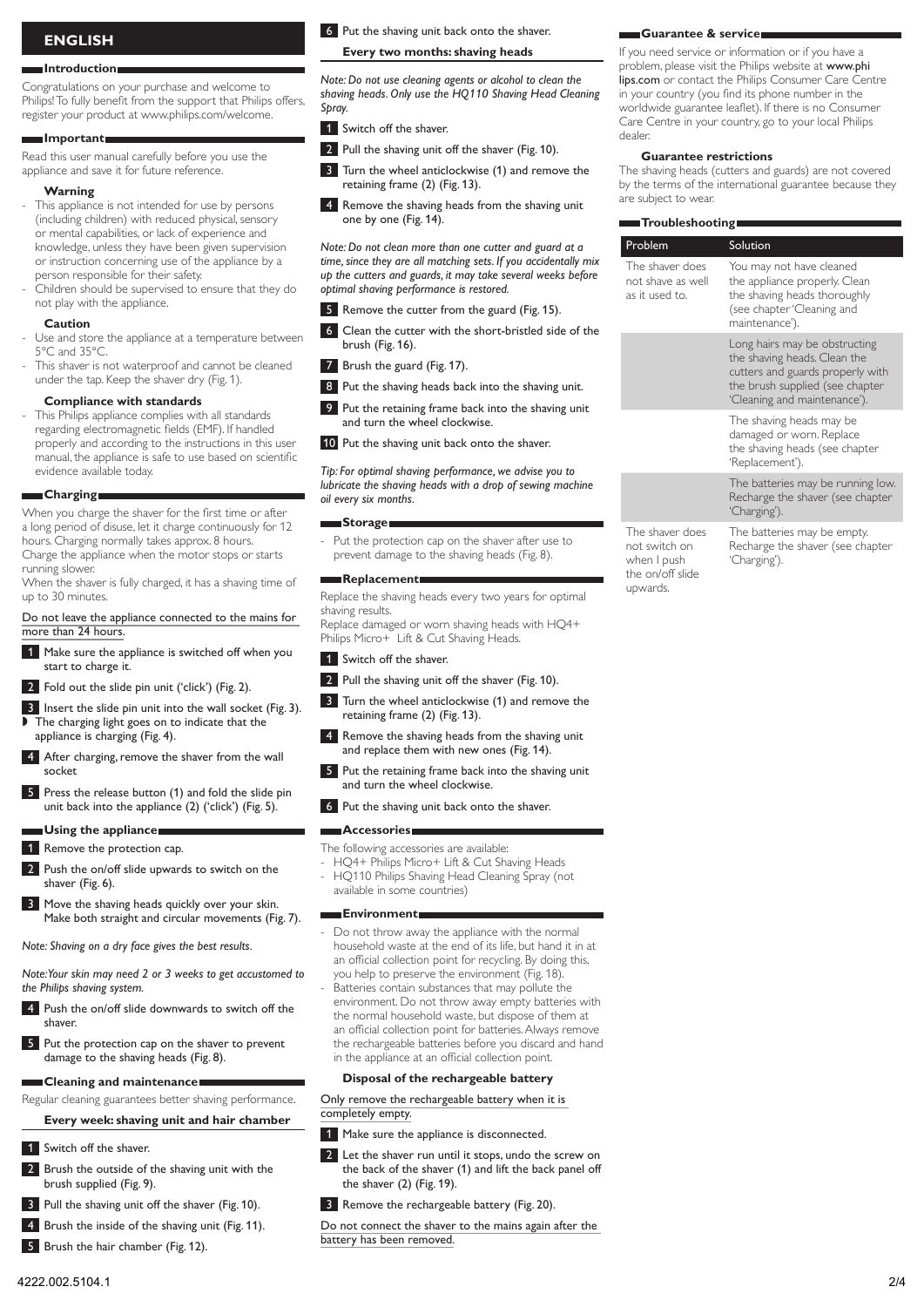## **english**

#### **Introduction**

Congratulations on your purchase and welcome to Philips! To fully benefit from the support that Philips offers, register your product at www.philips.com/welcome.

#### **Important**

Read this user manual carefully before you use the appliance and save it for future reference.

#### **Warning**

- This appliance is not intended for use by persons (including children) with reduced physical, sensory or mental capabilities, or lack of experience and knowledge, unless they have been given supervision or instruction concerning use of the appliance by a person responsible for their safety. -
- Children should be supervised to ensure that they do not play with the appliance. -

#### **Caution**

- Use and store the appliance at a temperature between 5°C and 35°C. -
- This shaver is not waterproof and cannot be cleaned under the tap. Keep the shaver dry (Fig. 1). -

#### **Compliance with standards**

This Philips appliance complies with all standards regarding electromagnetic fields (EMF). If handled properly and according to the instructions in this user manual, the appliance is safe to use based on scientific evidence available today. -

#### **Charging**

When you charge the shaver for the first time or after a long period of disuse, let it charge continuously for 12 hours. Charging normally takes approx. 8 hours. Charge the appliance when the motor stops or starts running slower.

When the shaver is fully charged, it has a shaving time of up to 30 minutes.

#### Do not leave the appliance connected to the mains for more than 24 hours.

- Make sure the appliance is switched off when you start to charge it.
- 2 Fold out the slide pin unit ('click') (Fig. 2).

3 Insert the slide pin unit into the wall socket (Fig. 3). The charging light goes on to indicate that the appliance is charging (Fig. 4). ,

- After charging, remove the shaver from the wall socket
- 5 Press the release button (1) and fold the slide pin unit back into the appliance (2) ('click') (Fig. 5).

#### **Using the appliance**

- 1 Remove the protection cap.
- 2 Push the on/off slide upwards to switch on the shaver (Fig. 6).
- **3** Move the shaving heads quickly over your skin. Make both straight and circular movements (Fig. 7).

*Note: Shaving on a dry face gives the best results.*

*Note: Your skin may need 2 or 3 weeks to get accustomed to the Philips shaving system.*

- 4 Push the on/off slide downwards to switch off the shaver.
- 5 Put the protection cap on the shaver to prevent damage to the shaving heads (Fig. 8).

#### **Cleaning and maintenance**

Regular cleaning guarantees better shaving performance.

### **Every week: shaving unit and hair chamber**

- 1 Switch off the shaver.
- 2 Brush the outside of the shaving unit with the brush supplied (Fig. 9).
- 3 Pull the shaving unit off the shaver (Fig. 10).
- **4** Brush the inside of the shaving unit (Fig. 11).
- 5 Brush the hair chamber (Fig. 12).

6 Put the shaving unit back onto the shaver.

#### **Every two months: shaving heads**

*Note: Do not use cleaning agents or alcohol to clean the shaving heads. Only use the HQ110 Shaving Head Cleaning Spray.* 

- 1 Switch off the shaver.
- 2 Pull the shaving unit off the shaver (Fig. 10).
- **3** Turn the wheel anticlockwise (1) and remove the retaining frame (2) (Fig. 13).
- **4** Remove the shaving heads from the shaving unit one by one (Fig. 14).

*Note: Do not clean more than one cutter and guard* time, since they are all matching sets. If you accident *up the cutters and guards, it may take several weeks optimal shaving performance is restored.*

- 5 Remove the cutter from the guard (Fig. 15).
- 6 Clean the cutter with the short-bristled side brush (Fig. 16).
- 7 Brush the guard (Fig. 17).
- 8 Put the shaving heads back into the shaving unit.
- 9 Put the retaining frame back into the shaving and turn the wheel clockwise.
- 10 Put the shaving unit back onto the shaver.

*Tip: For optimal shaving performance, we advise you lubricate the shaving heads with a drop of sewing ma oil every six months.*

#### **Storage**

Put the protection cap on the shaver after use prevent damage to the shaving heads (Fig. 8). -

#### **Replacement**

Replace the shaving heads every two years for optimal shaving results.

Replace damaged or worn shaving heads with HQ4+ Philips Micro+ Lift & Cut Shaving Heads.

- 1 Switch off the shaver.
- 2 Pull the shaving unit off the shaver (Fig. 10).
- **3** Turn the wheel anticlockwise (1) and remove the retaining frame (2) (Fig. 13).
- 4 Remove the shaving heads from the shaving unit and replace them with new ones (Fig. 14).
- 5 Put the retaining frame back into the shaving unit and turn the wheel clockwise.
- 6 Put the shaving unit back onto the shaver.

#### **Accessories**

- The following accessories are available:
- HQ4+ Philips Micro+ Lift & Cut Shaving Heads -
- HQ110 Philips Shaving Head Cleaning Spray (not available in some countries) -

#### **Environment**

Do not throw away the appliance with the normal household waste at the end of its life, but hand it in at an official collection point for recycling. By doing this, you help to preserve the environment (Fig. 18). Batteries contain substances that may pollute the environment. Do not throw away empty batteries with the normal household waste, but dispose of them at an official collection point for batteries. Always remove the rechargeable batteries before you discard and hand in the appliance at an official collection point. - -

#### **Disposal of the rechargeable battery**

Only remove the rechargeable battery when it is completely empty.

- 1 Make sure the appliance is disconnected.
- 2 Let the shaver run until it stops, undo the screw on the back of the shaver (1) and lift the back panel off the shaver (2) (Fig. 19).
- **3** Remove the rechargeable battery (Fig. 20).

Do not connect the shaver to the mains again after the battery has been removed.

#### If you need service or information or if you have a problem, please visit the Philips website at www.phi lips.com or contact the Philips Consumer Care Centre in your country (you find its phone number in the worldwide guarantee leaflet). If there is no Consumer Care Centre in your country, go to your local Philips dealer.

#### **Guarantee restrictions**

**Guarantee & service**

The shaving heads (cutters and guards) are not covered by the terms of the international guarantee because they are subject to wear.

|                                  | Troubleshooting                                                     |                                                                                                                                                                      |
|----------------------------------|---------------------------------------------------------------------|----------------------------------------------------------------------------------------------------------------------------------------------------------------------|
| at a                             | Problem                                                             | Solution                                                                                                                                                             |
| ally mix<br>: before<br>e of the | The shaver does<br>not shave as well<br>as it used to.              | You may not have cleaned<br>the appliance properly. Clean<br>the shaving heads thoroughly<br>(see chapter 'Cleaning and<br>maintenance').                            |
| unit.<br>ξ unit                  |                                                                     | Long hairs may be obstructing<br>the shaving heads. Clean the<br>cutters and guards properly with<br>the brush supplied (see chapter<br>'Cleaning and maintenance'). |
| to                               |                                                                     | The shaving heads may be<br>damaged or worn. Replace<br>the shaving heads (see chapter<br>'Replacement').                                                            |
| achine                           |                                                                     | The batteries may be running low.<br>Recharge the shaver (see chapter<br>'Charging').                                                                                |
| to                               | The shaver does<br>not switch on<br>when I push<br>the on/off slide | The batteries may be empty.<br>Recharge the shaver (see chapter<br>'Charging').                                                                                      |

upwards.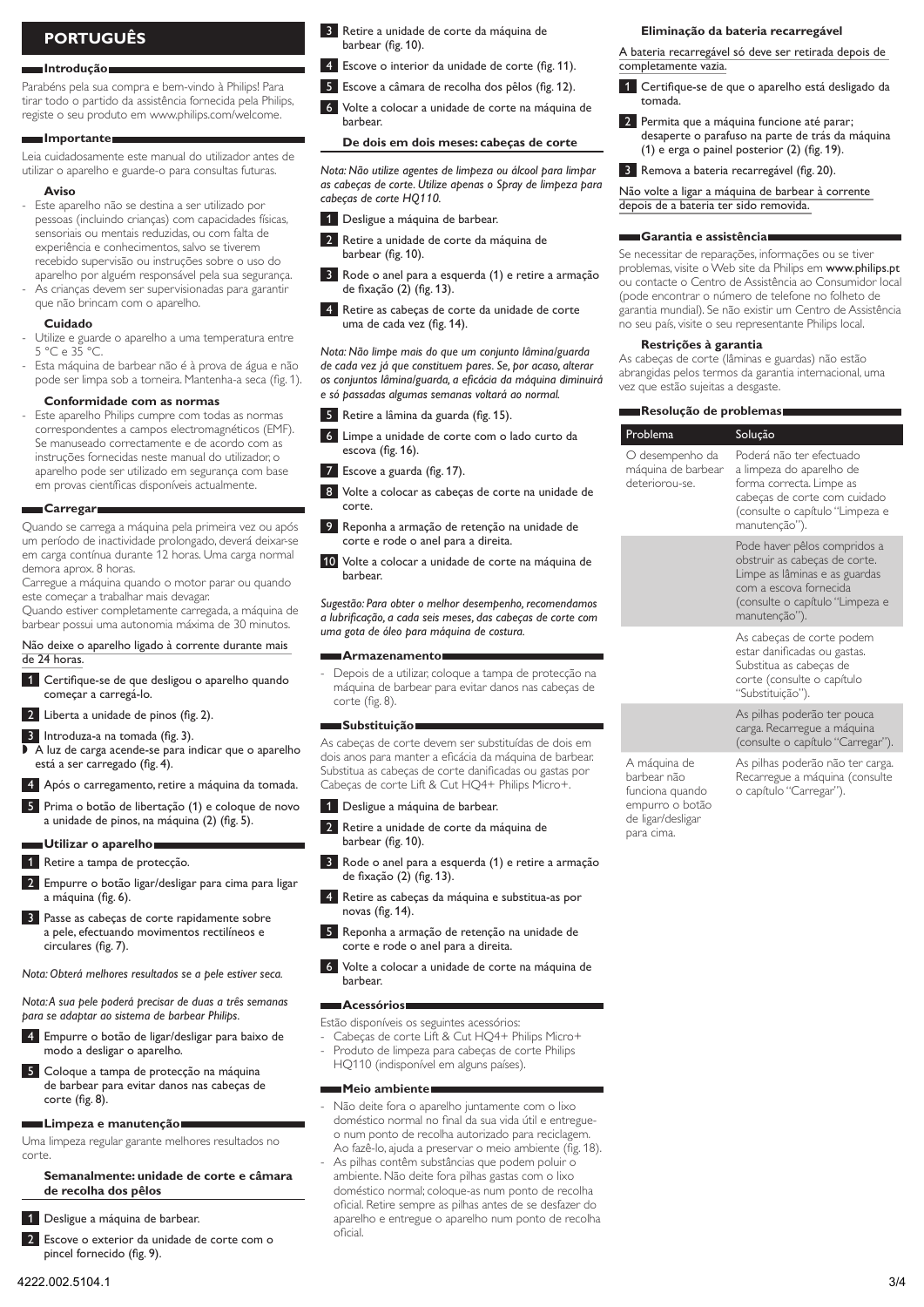# **Português**

#### **Introdução**

Parabéns pela sua compra e bem-vindo à Philips! Para tirar todo o partido da assistência fornecida pela Philips, registe o seu produto em www.philips.com/welcome.

#### **Importante**

Leia cuidadosamente este manual do utilizador antes de utilizar o aparelho e guarde-o para consultas futuras.

#### **Aviso**

- Este aparelho não se destina a ser utilizado por pessoas (incluindo crianças) com capacidades físicas, sensoriais ou mentais reduzidas, ou com falta de experiência e conhecimentos, salvo se tiverem recebido supervisão ou instruções sobre o uso do aparelho por alguém responsável pela sua segurança. -
- As crianças devem ser supervisionadas para garantir que não brincam com o aparelho. -

#### **Cuidado**

- Utilize e guarde o aparelho a uma temperatura entre 5 °C e 35 °C. -
- Esta máquina de barbear não é à prova de água e não pode ser limpa sob a torneira. Mantenha-a seca (fig. 1). -

#### **Conformidade com as normas**

Este aparelho Philips cumpre com todas as normas correspondentes a campos electromagnéticos (EMF). Se manuseado correctamente e de acordo com as instruções fornecidas neste manual do utilizador, o aparelho pode ser utilizado em segurança com base em provas científicas disponíveis actualmente. -

#### **Carregar**

Quando se carrega a máquina pela primeira vez ou após um período de inactividade prolongado, deverá deixar-se em carga contínua durante 12 horas. Uma carga normal demora aprox. 8 horas.

Carregue a máquina quando o motor parar ou quando este começar a trabalhar mais devagar.

Quando estiver completamente carregada, a máquina de barbear possui uma autonomia máxima de 30 minutos.

#### Não deixe o aparelho ligado à corrente durante mais de 24 horas.

- 1 Certifique-se de que desligou o aparelho quando começar a carregá-lo.
- 2 Liberta a unidade de pinos (fig. 2).
- 3 Introduza-a na tomada (fig. 3).
- A luz de carga acende-se para indicar que o aparelho está a ser carregado (fig. 4). ,
- 4 Após o carregamento, retire a máquina da tomada.
- 5 Prima o botão de libertação (1) e coloque de novo a unidade de pinos, na máquina (2) (fig. 5).

#### **Utilizar o aparelho**

1 Retire a tampa de protecção.

- 2 Empurre o botão ligar/desligar para cima para ligar a máquina (fig. 6).
- 3 Passe as cabeças de corte rapidamente sobre a pele, efectuando movimentos rectilíneos e circulares (fig. 7).
- *Nota: Obterá melhores resultados se a pele estiver seca.*

*Nota: A sua pele poderá precisar de duas a três semanas para se adaptar ao sistema de barbear Philips.*

- 4 Empurre o botão de ligar/desligar para baixo de modo a desligar o aparelho.
- 5 Coloque a tampa de protecção na máquina de barbear para evitar danos nas cabeças de corte (fig. 8).

#### **Limpeza e manutenção**

Uma limpeza regular garante melhores resultados no corte.

#### **Semanalmente: unidade de corte e câmara de recolha dos pêlos**

- 1 Desligue a máquina de barbear.
- 2 Escove o exterior da unidade de corte com o pincel fornecido (fig. 9).
- 3 Retire a unidade de corte da máquina de barbear (fig. 10).
- 4 Escove o interior da unidade de corte (fig. 11).
- 5 Escove a câmara de recolha dos pêlos (fig. 12).
- 6 Volte a colocar a unidade de corte na máquina de barbear.

#### **De dois em dois meses: cabeças de corte**

*Nota: Não utilize agentes de limpeza ou álcool para limpar as cabeças de corte. Utilize apenas o Spray de limpeza para cabeças de corte HQ110.* 

- 1 Desligue a máquina de barbear.
- 2 Retire a unidade de corte da máquina de barbear (fig. 10).
- 3 Rode o anel para a esquerda (1) e retire a armação de fixação (2) (fig. 13).
- 4 Retire as cabeças de corte da unidade de corte uma de cada vez (fig. 14).

*Nota: Não limpe mais do que um conjunto lâmina/guarda de cada vez já que constituem pares. Se, por acaso, alterar os conjuntos lâmina/guarda, a eficácia da máquina diminuirá e só passadas algumas semanas voltará ao normal.*

- 5 Retire a lâmina da guarda (fig. 15).
- 6 Limpe a unidade de corte com o lado curto da escova (fig. 16).
- 7 Escove a guarda (fig. 17).
- 8 Volte a colocar as cabeças de corte na unidade de corte.
- 9 Reponha a armação de retenção na unidade de corte e rode o anel para a direita.
- 10 Volte a colocar a unidade de corte na máquina de barbear.

*Sugestão: Para obter o melhor desempenho, recomendamos a lubrificação, a cada seis meses, das cabeças de corte com uma gota de óleo para máquina de costura.*

#### **Armazenamento**

Depois de a utilizar, coloque a tampa de protecção na máquina de barbear para evitar danos nas cabeças de corte (fig. 8). -

#### **Substituição**

As cabeças de corte devem ser substituídas de dois em dois anos para manter a eficácia da máquina de barbear. Substitua as cabeças de corte danificadas ou gastas por Cabeças de corte Lift & Cut HQ4+ Philips Micro+.

#### 1 Desligue a máquina de barbear.

- 2 Retire a unidade de corte da máquina de barbear (fig. 10).
- 3 Rode o anel para a esquerda (1) e retire a armação de fixação (2) (fig. 13).
- Retire as cabeças da máquina e substitua-as por novas (fig. 14).
- 5 Reponha a armação de retenção na unidade de corte e rode o anel para a direita.
- Volte a colocar a unidade de corte na máquina de barbear.

#### **Acessórios**

Estão disponíveis os seguintes acessórios:

- Cabeças de corte Lift & Cut HQ4+ Philips Micro+ -
- Produto de limpeza para cabeças de corte Philips HQ110 (indisponível em alguns países). -

#### **Meio ambiente**

- Não deite fora o aparelho juntamente com o lixo doméstico normal no final da sua vida útil e entregueo num ponto de recolha autorizado para reciclagem. Ao fazê-lo, ajuda a preservar o meio ambiente (fig. 18). -
- As pilhas contêm substâncias que podem poluir o ambiente. Não deite fora pilhas gastas com o lixo doméstico normal; coloque-as num ponto de recolha oficial. Retire sempre as pilhas antes de se desfazer do aparelho e entregue o aparelho num ponto de recolha oficial. -

#### **Eliminação da bateria recarregável**

A bateria recarregável só deve ser retirada depois de completamente vazia.

- 1 Certifique-se de que o aparelho está desligado da tomada.
- 2 Permita que a máquina funcione até parar; desaperte o parafuso na parte de trás da máquina (1) e erga o painel posterior (2) (fig. 19).
- **3** Remova a bateria recarregável (fig. 20).

Não volte a ligar a máquina de barbear à corrente depois de a bateria ter sido removida.

#### **Garantia e assistência**

Se necessitar de reparações, informações ou se tiver problemas, visite o Web site da Philips em www.philips.pt ou contacte o Centro de Assistência ao Consumidor local (pode encontrar o número de telefone no folheto de garantia mundial). Se não existir um Centro de Assistência no seu país, visite o seu representante Philips local.

#### **Restrições à garantia**

As cabeças de corte (lâminas e guardas) não estão abrangidas pelos termos da garantia internacional, uma vez que estão sujeitas a desgaste.

#### **Resolução de problemas**

| Problema                                                                                             | <u>So</u> lução                                                                                                                                                              |
|------------------------------------------------------------------------------------------------------|------------------------------------------------------------------------------------------------------------------------------------------------------------------------------|
| O desempenho da<br>máquina de barbear<br>deteriorou-se.                                              | Poderá não ter efectuado<br>a limpeza do aparelho de<br>forma correcta. Limpe as<br>cabeças de corte com cuidado<br>(consulte o capítulo "Limpeza e<br>manutencão").         |
|                                                                                                      | Pode haver pêlos compridos a<br>obstruir as cabeças de corte.<br>Limpe as lâminas e as guardas<br>com a escova fornecida<br>(consulte o capítulo "Limpeza e<br>manutencão"). |
|                                                                                                      | As cabeças de corte podem<br>estar danificadas ou gastas.<br>Substitua as cabecas de<br>corte (consulte o capítulo<br>"Substituição").                                       |
|                                                                                                      | As pilhas poderão ter pouca<br>carga. Recarregue a máquina<br>(consulte o capítulo "Carregar").                                                                              |
| A máquina de<br>barbear não<br>funciona quando<br>empurro o botão<br>de ligar/desligar<br>para cima. | As pilhas poderão não ter carga.<br>Recarregue a máquina (consulte<br>o capítulo "Carregar").                                                                                |